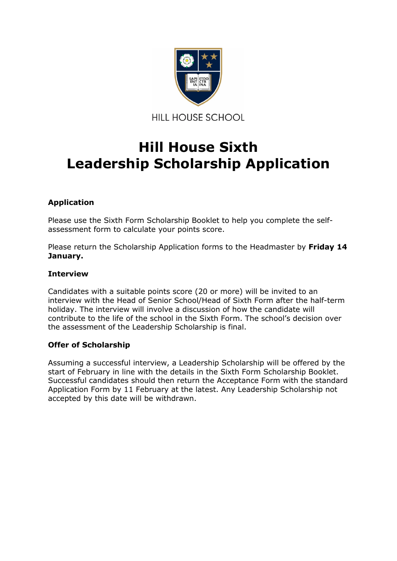

## **Hill House Sixth Leadership Scholarship Application**

#### **Application**

Please use the Sixth Form Scholarship Booklet to help you complete the selfassessment form to calculate your points score.

Please return the Scholarship Application forms to the Headmaster by **Friday 14 January.**

#### **Interview**

Candidates with a suitable points score (20 or more) will be invited to an interview with the Head of Senior School/Head of Sixth Form after the half-term holiday. The interview will involve a discussion of how the candidate will contribute to the life of the school in the Sixth Form. The school's decision over the assessment of the Leadership Scholarship is final.

#### **Offer of Scholarship**

Assuming a successful interview, a Leadership Scholarship will be offered by the start of February in line with the details in the Sixth Form Scholarship Booklet. Successful candidates should then return the Acceptance Form with the standard Application Form by 11 February at the latest. Any Leadership Scholarship not accepted by this date will be withdrawn.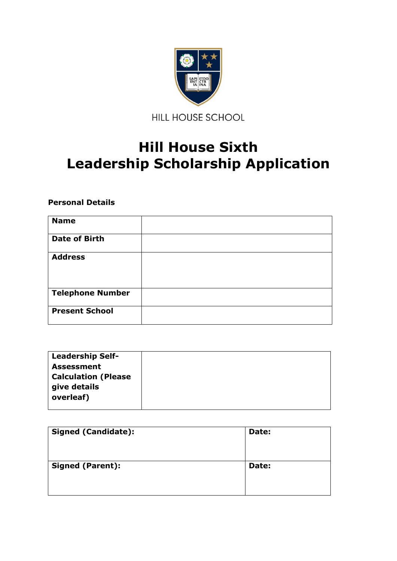

# **Hill House Sixth Leadership Scholarship Application**

### **Personal Details**

| <b>Name</b>             |  |
|-------------------------|--|
| <b>Date of Birth</b>    |  |
| <b>Address</b>          |  |
| <b>Telephone Number</b> |  |
| <b>Present School</b>   |  |

| <b>Leadership Self-</b>    |  |
|----------------------------|--|
| <b>Assessment</b>          |  |
| <b>Calculation (Please</b> |  |
| give details               |  |
| overleaf)                  |  |
|                            |  |

| <b>Signed (Candidate):</b> | Date: |
|----------------------------|-------|
| <b>Signed (Parent):</b>    | Date: |